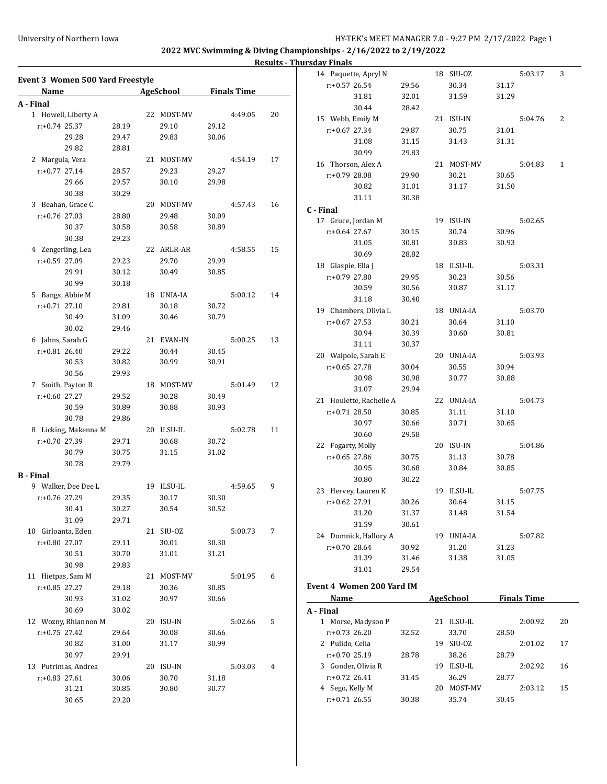### **Results - Thursday Finals**

|                           | Event 3 Women 500 Yard Freestyle |  |                |                |                    | 14 Paquette, Apryl N |                           | 18 SIU-0Z |            | 5:03.17 | 3                  |    |
|---------------------------|----------------------------------|--|----------------|----------------|--------------------|----------------------|---------------------------|-----------|------------|---------|--------------------|----|
| Name                      |                                  |  | AgeSchool      |                | <b>Finals Time</b> |                      | $r.+0.57$ 26.54           | 29.56     | 30.34      | 31.17   |                    |    |
|                           |                                  |  |                |                |                    |                      | 31.81                     | 32.01     | 31.59      | 31.29   |                    |    |
| A - Final                 |                                  |  |                |                | 4:49.05            | 20                   | 30.44                     | 28.42     |            |         |                    |    |
| 1 Howell, Liberty A       |                                  |  | 22 MOST-MV     |                |                    |                      | 15 Webb, Emily M          |           | 21 ISU-IN  |         | 5:04.76            | 2  |
| $r: +0.74$ 25.37<br>29.28 | 28.19<br>29.47                   |  | 29.10<br>29.83 | 29.12<br>30.06 |                    |                      | $r: +0.67$ 27.34          | 29.87     | 30.75      | 31.01   |                    |    |
|                           |                                  |  |                |                |                    |                      | 31.08                     | 31.15     | 31.43      | 31.31   |                    |    |
| 29.82                     | 28.81                            |  |                |                |                    |                      | 30.99                     | 29.83     |            |         |                    |    |
| 2 Margula, Vera           |                                  |  | 21 MOST-MV     |                | 4:54.19            | 17                   | 16 Thorson, Alex A        |           | 21 MOST-MV |         | 5:04.83            | 1  |
| $r+0.77$ 27.14            | 28.57                            |  | 29.23          | 29.27          |                    |                      | r:+0.79 28.08             | 29.90     | 30.21      | 30.65   |                    |    |
| 29.66                     | 29.57                            |  | 30.10          | 29.98          |                    |                      | 30.82                     | 31.01     | 31.17      | 31.50   |                    |    |
| 30.38                     | 30.29                            |  |                |                |                    |                      | 31.11                     | 30.38     |            |         |                    |    |
| 3 Beahan, Grace C         |                                  |  | 20 MOST-MV     |                | 4:57.43            | 16                   | C - Final                 |           |            |         |                    |    |
| $r: +0.76$ 27.03          | 28.80                            |  | 29.48          | 30.09          |                    |                      | 17 Gruce, Jordan M        |           | 19 ISU-IN  |         | 5:02.65            |    |
| 30.37                     | 30.58                            |  | 30.58          | 30.89          |                    |                      | $r+0.64$ 27.67            | 30.15     | 30.74      | 30.96   |                    |    |
| 30.38                     | 29.23                            |  |                |                |                    |                      | 31.05                     | 30.81     | 30.83      | 30.93   |                    |    |
| 4 Zengerling, Lea         |                                  |  | 22 ARLR-AR     |                | 4:58.55            | 15                   | 30.69                     | 28.82     |            |         |                    |    |
| r:+0.59 27.09             | 29.23                            |  | 29.70          | 29.99          |                    |                      | 18 Glaspie, Ella J        |           | 18 ILSU-IL |         | 5:03.31            |    |
| 29.91                     | 30.12                            |  | 30.49          | 30.85          |                    |                      | r:+0.79 27.80             | 29.95     | 30.23      | 30.56   |                    |    |
| 30.99                     | 30.18                            |  |                |                |                    |                      | 30.59                     | 30.56     | 30.87      | 31.17   |                    |    |
| 5 Bangs, Abbie M          |                                  |  | 18 UNIA-IA     |                | 5:00.12            | 14                   | 31.18                     | 30.40     |            |         |                    |    |
| $r: +0.71$ 27.10          | 29.81                            |  | 30.18          | 30.72          |                    |                      | 19 Chambers, Olivia L     |           | 18 UNIA-IA |         | 5:03.70            |    |
| 30.49                     | 31.09                            |  | 30.46          | 30.79          |                    |                      | $r: +0.67$ 27.53          | 30.21     | 30.64      | 31.10   |                    |    |
| 30.02                     | 29.46                            |  |                |                |                    |                      | 30.94                     | 30.39     | 30.60      | 30.81   |                    |    |
| 6 Jahns, Sarah G          |                                  |  | 21 EVAN-IN     |                | 5:00.25            | 13                   | 31.11                     | 30.37     |            |         |                    |    |
| $r+0.81$ 26.40            | 29.22                            |  | 30.44          | 30.45          |                    |                      | 20 Walpole, Sarah E       |           | 20 UNIA-IA |         | 5:03.93            |    |
| 30.53                     | 30.82                            |  | 30.99          | 30.91          |                    |                      | $r: +0.65$ 27.78          | 30.04     | 30.55      | 30.94   |                    |    |
| 30.56                     | 29.93                            |  |                |                |                    |                      | 30.98                     | 30.98     | 30.77      | 30.88   |                    |    |
| 7 Smith, Payton R         |                                  |  | 18 MOST-MV     |                | 5:01.49            | 12                   | 31.07                     | 29.94     |            |         |                    |    |
| $r: +0.60$ 27.27          | 29.52                            |  | 30.28          | 30.49          |                    |                      | 21 Houlette, Rachelle A   |           | 22 UNIA-IA |         | 5:04.73            |    |
| 30.59                     | 30.89                            |  | 30.88          | 30.93          |                    |                      | $r: +0.71$ 28.50          | 30.85     | 31.11      | 31.10   |                    |    |
| 30.78                     | 29.86                            |  |                |                |                    |                      | 30.97                     | 30.66     | 30.71      | 30.65   |                    |    |
| 8 Licking, Makenna M      |                                  |  | 20 ILSU-IL     |                | 5:02.78            | 11                   | 30.60                     | 29.58     |            |         |                    |    |
| $r: +0.70$ 27.39          | 29.71                            |  | 30.68          | 30.72          |                    |                      | 22 Fogarty, Molly         |           | 20 ISU-IN  |         | 5:04.86            |    |
| 30.79                     | 30.75                            |  | 31.15          | 31.02          |                    |                      | $r: +0.65$ 27.86          | 30.75     | 31.13      | 30.78   |                    |    |
| 30.78                     | 29.79                            |  |                |                |                    |                      | 30.95                     | 30.68     | 30.84      | 30.85   |                    |    |
| <b>B</b> - Final          |                                  |  |                |                |                    |                      | 30.80                     | 30.22     |            |         |                    |    |
| 9 Walker, Dee Dee L       |                                  |  | 19 ILSU-IL     |                | 4:59.65            | 9                    | 23 Hervey, Lauren K       |           | 19 ILSU-IL |         | 5:07.75            |    |
| r:+0.76 27.29             | 29.35                            |  | 30.17          | 30.30          |                    |                      | $r.+0.62$ 27.91           | 30.26     | 30.64      | 31.15   |                    |    |
| 30.41                     | 30.27                            |  | 30.54          | 30.52          |                    |                      | 31.20                     | 31.37     | 31.48      | 31.54   |                    |    |
| 31.09                     | 29.71                            |  |                |                |                    |                      | 31.59                     | 30.61     |            |         |                    |    |
| 10 Girloanta, Eden        |                                  |  | 21 SIU-0Z      |                | 5:00.73            | 7                    | 24 Domnick, Hallory A     |           | 19 UNIA-IA |         | 5:07.82            |    |
| r:+0.80 27.07             | 29.11                            |  | 30.01          | 30.30          |                    |                      | $r: +0.70$ 28.64          | 30.92     | 31.20      | 31.23   |                    |    |
| 30.51                     | 30.70                            |  | 31.01          | 31.21          |                    |                      | 31.39                     | 31.46     | 31.38      | 31.05   |                    |    |
| 30.98                     | 29.83                            |  |                |                |                    |                      | 31.01                     | 29.54     |            |         |                    |    |
| 11 Hietpas, Sam M         |                                  |  | 21 MOST-MV     |                | 5:01.95            | 6                    |                           |           |            |         |                    |    |
| $r: +0.85$ 27.27          | 29.18                            |  | 30.36          | 30.85          |                    |                      | Event 4 Women 200 Yard IM |           |            |         |                    |    |
| 30.93                     | 31.02                            |  | 30.97          | 30.66          |                    |                      | Name                      |           | AgeSchool  |         | <b>Finals Time</b> |    |
| 30.69                     | 30.02                            |  |                |                |                    |                      | A - Final                 |           |            |         |                    |    |
| 12 Wozny, Rhiannon M      |                                  |  | 20 ISU-IN      |                | 5:02.66            | 5                    | 1 Morse, Madyson P        |           | 21 ILSU-IL |         | 2:00.92            | 20 |
| $r: +0.75$ 27.42          | 29.64                            |  | 30.08          | 30.66          |                    |                      | $r: +0.73$ 26.20          | 32.52     | 33.70      | 28.50   |                    |    |
| 30.82                     | 31.00                            |  | 31.17          | 30.99          |                    |                      | 2 Pulido, Celia           |           | 19 SIU-0Z  |         | 2:01.02            | 17 |
| 30.97                     | 29.91                            |  |                |                |                    |                      | $r: +0.70$ 25.19          | 28.78     | 38.26      | 28.79   |                    |    |
| 13 Putrimas, Andrea       |                                  |  | 20 ISU-IN      |                | 5:03.03            | 4                    | 3 Gonder, Olivia R        |           | 19 ILSU-IL |         | 2:02.92            | 16 |
| $r: +0.83$ 27.61          | 30.06                            |  | 30.70          | 31.18          |                    |                      | $r.+0.72$ 26.41           | 31.45     | 36.29      | 28.77   |                    |    |
| 31.21                     | 30.85                            |  | 30.80          | 30.77          |                    |                      | 4 Sego, Kelly M           |           | 20 MOST-MV |         | 2:03.12            | 15 |
| 30.65                     | 29.20                            |  |                |                |                    |                      | $r: +0.71$ 26.55          | 30.38     | 35.74      | 30.45   |                    |    |
|                           |                                  |  |                |                |                    |                      |                           |           |            |         |                    |    |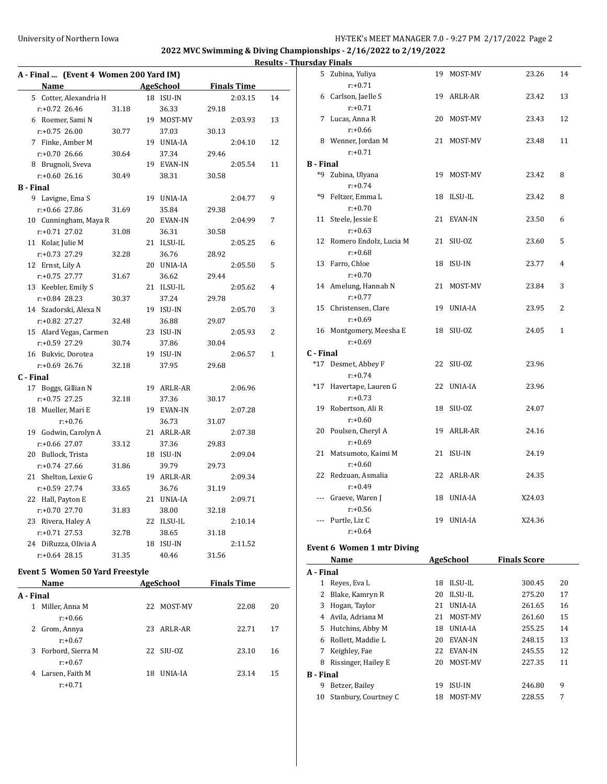5 Zubina, Yuliya 19 MOST-MV 23.26 14

6 Carlson, Jaelle S 19 ARLR-AR 23.42 13

7 Lucas, Anna R 20 MOST-MV 23.43 12

8 Wenner, Jordan M 21 MOST-MV 23.48 11

\*9 Zubina, Ulyana 19 MOST-MV 23.42 8

\*9 Feltzer, Emma L 18 ILSU-IL 23.42 8

11 Steele, Jessie E 21 EVAN-IN 23.50 6

12 Romero Endolz, Lucia M 21 SIU-OZ 23.60 5

13 Farro, Chloe 18 ISU-IN 23.77 4

14 Amelung, Hannah N 21 MOST-MV 23.84 3

15 Christensen, Clare 19 UNIA-IA 23.95 2

#### **2022 MVC Swimming & Diving Championships - 2/16/2022 to 2/19/2022**

#### **Results - Thursday Finals**

**B - Final**

r:+0.71

r:+0.71

r:+0.66

r:+0.71

r:+0.74

r:+0.70

r:+0.63

r:+0.68

r:+0.70

r:+0.77

|                                        | A - Final  (Event 4 Women 200 Yard IM) |  |                       |       |                    |    |  |  |  |  |  |  |  |
|----------------------------------------|----------------------------------------|--|-----------------------|-------|--------------------|----|--|--|--|--|--|--|--|
| <b>Name</b>                            |                                        |  | AgeSchool             |       | <b>Finals Time</b> |    |  |  |  |  |  |  |  |
| 5 Cotter, Alexandria H                 |                                        |  | 18 ISU-IN             |       | 2:03.15            | 14 |  |  |  |  |  |  |  |
| $r: +0.72$ 26.46                       | 31.18                                  |  | 36.33                 | 29.18 |                    |    |  |  |  |  |  |  |  |
| 6 Roemer, Sami N                       |                                        |  | 19 MOST-MV            |       | 2:03.93            | 13 |  |  |  |  |  |  |  |
| $r: +0.75$ 26.00                       | 30.77                                  |  | 37.03                 | 30.13 |                    |    |  |  |  |  |  |  |  |
| 7 Finke, Amber M                       |                                        |  | 19 UNIA-IA            |       | 2:04.10            | 12 |  |  |  |  |  |  |  |
| $r: +0.7026.66$                        | 30.64                                  |  | 37.34                 | 29.46 |                    |    |  |  |  |  |  |  |  |
| 8 Brugnoli, Sveva                      |                                        |  | 19 EVAN-IN            |       | 2:05.54            | 11 |  |  |  |  |  |  |  |
| $r: +0.6026.16$                        | 30.49                                  |  | 38.31                 | 30.58 |                    |    |  |  |  |  |  |  |  |
| <b>B</b> - Final                       |                                        |  |                       |       |                    |    |  |  |  |  |  |  |  |
| 9 Lavigne, Ema S                       |                                        |  | 19 UNIA-IA            |       | 2:04.77            | 9  |  |  |  |  |  |  |  |
| $r: +0.66$ 27.86                       | 31.69                                  |  | 35.84                 | 29.38 |                    |    |  |  |  |  |  |  |  |
| 10 Cunningham, Maya R                  |                                        |  | 20 EVAN-IN            |       | 2:04.99            | 7  |  |  |  |  |  |  |  |
| $r: +0.71$ 27.02                       | 31.08                                  |  | 36.31                 | 30.58 |                    |    |  |  |  |  |  |  |  |
| 11 Kolar, Julie M                      |                                        |  | 21 ILSU-IL            |       | 2:05.25            | 6  |  |  |  |  |  |  |  |
| r:+0.73 27.29                          | 32.28                                  |  | 36.76                 | 28.92 |                    |    |  |  |  |  |  |  |  |
| 12 Ernst, Lily A                       |                                        |  | 20 UNIA-IA            |       | 2:05.50            | 5  |  |  |  |  |  |  |  |
| $r: +0.75$ 27.77                       | 31.67                                  |  | 36.62                 | 29.44 |                    |    |  |  |  |  |  |  |  |
| 13 Keebler, Emily S                    |                                        |  | 21 ILSU-IL            |       | 2:05.62            | 4  |  |  |  |  |  |  |  |
| $r: +0.84$ 28.23                       | 30.37                                  |  | 37.24                 | 29.78 |                    |    |  |  |  |  |  |  |  |
| 14 Szadorski, Alexa N                  |                                        |  | 19 ISU-IN             |       | 2:05.70            | 3  |  |  |  |  |  |  |  |
| $r: +0.82$ 27.27                       | 32.48                                  |  | 36.88                 | 29.07 |                    |    |  |  |  |  |  |  |  |
| 15 Alard Vegas, Carmen                 |                                        |  | 23 ISU-IN             |       | 2:05.93            | 2  |  |  |  |  |  |  |  |
| r:+0.59 27.29                          | 30.74                                  |  | 37.86                 | 30.04 |                    |    |  |  |  |  |  |  |  |
| 16 Bukvic, Dorotea                     |                                        |  | 19 ISU-IN             |       | 2:06.57            | 1  |  |  |  |  |  |  |  |
| $r: +0.69$ 26.76                       | 32.18                                  |  | 37.95                 | 29.68 |                    |    |  |  |  |  |  |  |  |
| C - Final                              |                                        |  |                       |       |                    |    |  |  |  |  |  |  |  |
| 17 Boggs, Gillian N                    |                                        |  | 19 ARLR-AR            |       | 2:06.96            |    |  |  |  |  |  |  |  |
| $r: +0.75$ 27.25                       | 32.18                                  |  | 37.36                 | 30.17 |                    |    |  |  |  |  |  |  |  |
| 18 Mueller, Mari E                     |                                        |  | 19 EVAN-IN            |       | 2:07.28            |    |  |  |  |  |  |  |  |
| $r: +0.76$                             |                                        |  | 36.73                 | 31.07 |                    |    |  |  |  |  |  |  |  |
| 19 Godwin, Carolyn A                   |                                        |  | 21 ARLR-AR            |       | 2:07.38            |    |  |  |  |  |  |  |  |
| r:+0.66 27.07                          | 33.12                                  |  | 37.36                 | 29.83 |                    |    |  |  |  |  |  |  |  |
| 20 Bullock, Trista                     |                                        |  | 18 ISU-IN             |       | 2:09.04            |    |  |  |  |  |  |  |  |
| r:+0.74 27.66                          | 31.86                                  |  | 39.79                 | 29.73 |                    |    |  |  |  |  |  |  |  |
| 21 Shelton, Lexie G                    |                                        |  | 19 ARLR-AR            |       | 2:09.34            |    |  |  |  |  |  |  |  |
| $r: +0.59$ 27.74                       | 33.65                                  |  | 36.76                 | 31.19 |                    |    |  |  |  |  |  |  |  |
| 22 Hall, Payton E                      |                                        |  | 21 UNIA-IA            |       | 2:09.71            |    |  |  |  |  |  |  |  |
| r:+0.70 27.70                          | 31.83                                  |  | 38.00                 | 32.18 |                    |    |  |  |  |  |  |  |  |
| 23 Rivera, Haley A                     |                                        |  | 22 ILSU-IL            |       | 2:10.14            |    |  |  |  |  |  |  |  |
| $r: +0.71$ 27.53                       | 32.78                                  |  | 38.65                 | 31.18 |                    |    |  |  |  |  |  |  |  |
| 24 DiRuzza, Olivia A                   |                                        |  | 18 ISU-IN             |       | 2:11.52            |    |  |  |  |  |  |  |  |
| $r+0.64$ 28.15                         | 31.35                                  |  | 40.46                 | 31.56 |                    |    |  |  |  |  |  |  |  |
| <b>Event 5 Women 50 Yard Freestyle</b> |                                        |  |                       |       |                    |    |  |  |  |  |  |  |  |
| <b>Name</b>                            |                                        |  | AgeSchool Finals Time |       |                    |    |  |  |  |  |  |  |  |
| A - Final                              |                                        |  |                       |       |                    |    |  |  |  |  |  |  |  |
| $\mathbf{1}$<br>Miller, Anna M         |                                        |  | 22 MOST-MV            |       | 22.08              | 20 |  |  |  |  |  |  |  |
| $r + 0.66$                             |                                        |  |                       |       |                    |    |  |  |  |  |  |  |  |
| Grom, Annya<br>2                       |                                        |  | 23 ARLR-AR            |       | 22.71              | 17 |  |  |  |  |  |  |  |
| $r: +0.67$                             |                                        |  |                       |       |                    |    |  |  |  |  |  |  |  |

3 Forbord, Sierra M 22 SIU-OZ 23.10 16

4 Larsen, Faith M 18 UNIA-IA 23.14 15

r:+0.67

r:+0.71

|           | $r: +0.69$                        |    |                 |                     |              |
|-----------|-----------------------------------|----|-----------------|---------------------|--------------|
|           | 16 Montgomery, Meesha E           |    | 18 SIU-OZ       | 24.05               | $\mathbf{1}$ |
|           | $r: +0.69$                        |    |                 |                     |              |
| C - Final |                                   |    |                 |                     |              |
|           | *17 Desmet, Abbey F               |    | 22 SIU-OZ       | 23.96               |              |
|           | $r: +0.74$                        |    |                 |                     |              |
| $*17$     | Havertape, Lauren G               |    | 22 UNIA-IA      | 23.96               |              |
|           | $r: +0.73$                        |    |                 |                     |              |
| 19        | Robertson, Ali R                  |    | 18 SIU-OZ       | 24.07               |              |
|           | $r: +0.60$                        |    |                 |                     |              |
| 20        | Poulsen, Cheryl A                 |    | 19 ARLR-AR      | 24.16               |              |
|           | $r: +0.69$                        |    |                 |                     |              |
|           | 21 Matsumoto, Kaimi M             |    | 21 ISU-IN       | 24.19               |              |
|           | $r: +0.60$                        |    |                 |                     |              |
| 22        | Redzuan, Asmalia                  |    | 22 ARLR-AR      | 24.35               |              |
|           | $r: +0.49$                        |    |                 |                     |              |
|           | Graeve, Waren J                   |    | 18 UNIA-IA      | X24.03              |              |
|           | $r: +0.56$                        |    |                 |                     |              |
|           | Purtle, Liz C                     |    | 19 UNIA-IA      | X24.36              |              |
|           | $r: +0.64$                        |    |                 |                     |              |
|           | <b>Event 6 Women 1 mtr Diving</b> |    |                 |                     |              |
|           | Name                              |    | AgeSchool       | <b>Finals Score</b> |              |
| A - Final |                                   |    |                 |                     |              |
|           | 1 Reyes, Eva L                    |    | 18 ILSU-IL      | 300.45              | 20           |
| 2         | Blake, Kamryn R                   | 20 | ILSU-IL         | 275.20              | 17           |
| 3         | Hogan, Taylor                     | 21 | UNIA-IA         | 261.65              | 16           |
|           | 4 Avila, Adriana M                |    | 21 MOST-MV      | 261.60              | 15           |
| 5         | Hutchins, Abby M                  |    | 18 UNIA-IA      | 255.25              | 14           |
| 6         | Rollett, Maddie L                 |    | 20 EVAN-IN      | 248.15              | 13           |
| 7         | Keighley, Fae                     |    | 22 EVAN-IN      | 245.55              | 12           |
|           | $0.$ Disaingan Hailay E.          |    | $20-140$ CT $M$ | חר דרר              | 11           |

|                  | маше                 |    | AgeSchool      | гшатэ эсөге |    |
|------------------|----------------------|----|----------------|-------------|----|
| A - Final        |                      |    |                |             |    |
| 1                | Reves, Eva L         | 18 | <b>ILSU-IL</b> | 300.45      | 20 |
| 2                | Blake, Kamryn R      | 20 | <b>ILSU-IL</b> | 275.20      | 17 |
| 3                | Hogan, Taylor        | 21 | UNIA-IA        | 261.65      | 16 |
| 4                | Avila, Adriana M     | 21 | MOST-MV        | 261.60      | 15 |
| 5.               | Hutchins, Abby M     | 18 | UNIA-IA        | 255.25      | 14 |
| 6                | Rollett, Maddie L    | 20 | <b>EVAN-IN</b> | 248.15      | 13 |
| 7                | Keighley, Fae        | 22 | <b>EVAN-IN</b> | 245.55      | 12 |
| 8                | Rissinger, Hailey E  | 20 | MOST-MV        | 227.35      | 11 |
| <b>B</b> - Final |                      |    |                |             |    |
| 9                | Betzer, Bailey       | 19 | <b>ISU-IN</b>  | 246.80      | 9  |
| 10               | Stanbury, Courtney C | 18 | MOST-MV        | 228.55      | 7  |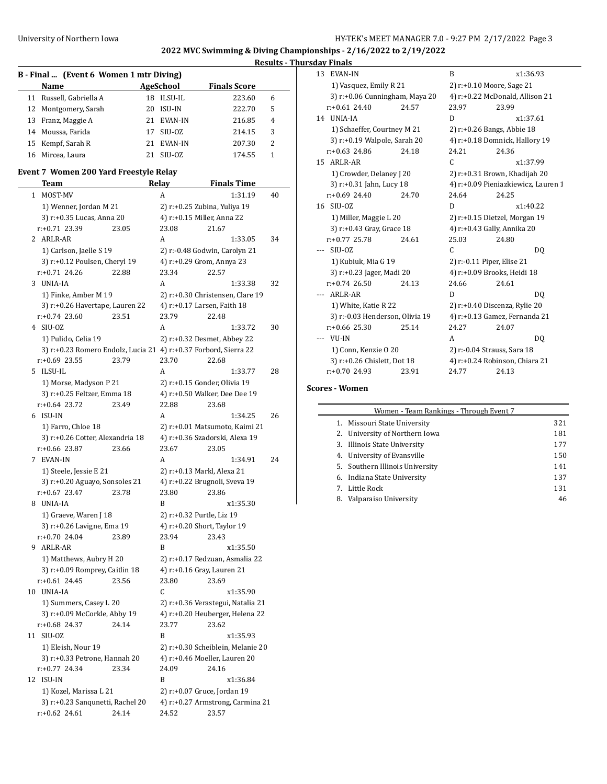#### **Results - Thursday Finals**

|    | B - Final  (Event 6 Women 1 mtr Diving) |     |           |                     |   |  |  |  |  |  |  |
|----|-----------------------------------------|-----|-----------|---------------------|---|--|--|--|--|--|--|
|    | Name                                    |     | AgeSchool | <b>Finals Score</b> |   |  |  |  |  |  |  |
|    | 11 Russell, Gabriella A                 | 18. | ILSU-IL   | 223.60              | 6 |  |  |  |  |  |  |
|    | 12 Montgomery, Sarah                    | 20  | ISU-IN    | 222.70              | 5 |  |  |  |  |  |  |
|    | 13 Franz, Maggie A                      | 21. | EVAN-IN   | 216.85              | 4 |  |  |  |  |  |  |
| 14 | Moussa, Farida                          | 17  | SIU-OZ    | 214.15              | 3 |  |  |  |  |  |  |
|    | 15 Kempf, Sarah R                       | 21  | EVAN-IN   | 207.30              | 2 |  |  |  |  |  |  |
| 16 | Mircea, Laura                           | 21  | SIU-OZ    | 174.55              | 1 |  |  |  |  |  |  |

#### **Event 7 Women 200 Yard Freestyle Relay**

| <u>Team</u>                                                      |       | <b>Relay</b><br><b>Finals Time</b> |                                        |    |  |  |
|------------------------------------------------------------------|-------|------------------------------------|----------------------------------------|----|--|--|
| MOST-MV<br>1                                                     |       | A                                  | 1:31.19                                | 40 |  |  |
| 1) Wenner, Jordan M 21                                           |       |                                    | 2) r:+0.25 Zubina, Yuliya 19           |    |  |  |
| 3) r:+0.35 Lucas, Anna 20                                        |       | 4) r:+0.15 Miller, Anna 22         |                                        |    |  |  |
| r:+0.71 23.39                                                    | 23.05 | 23.08                              | 21.67                                  |    |  |  |
| 2 ARLR-AR                                                        |       | A                                  | 1:33.05                                | 34 |  |  |
| 1) Carlson, Jaelle S 19                                          |       |                                    | 2) r:-0.48 Godwin, Carolyn 21          |    |  |  |
| 3) r:+0.12 Poulsen, Cheryl 19                                    |       | 4) r:+0.29 Grom, Annya 23          |                                        |    |  |  |
| $r+0.71$ 24.26                                                   | 22.88 | 23.34                              | 22.57                                  |    |  |  |
| UNIA-IA<br>3                                                     |       | A                                  | 1:33.38                                | 32 |  |  |
| 1) Finke, Amber M 19                                             |       |                                    | 2) r:+0.30 Christensen, Clare 19       |    |  |  |
| 3) r:+0.26 Havertape, Lauren 22                                  |       | 4) r:+0.17 Larsen, Faith 18        |                                        |    |  |  |
| $r: +0.74$ 23.60                                                 | 23.51 | 23.79                              | 22.48                                  |    |  |  |
| 4 SIU-OZ                                                         |       | А                                  | 1:33.72                                | 30 |  |  |
| 1) Pulido, Celia 19                                              |       |                                    | 2) r:+0.32 Desmet, Abbey 22            |    |  |  |
| 3) r:+0.23 Romero Endolz, Lucia 21 4) r:+0.37 Forbord, Sierra 22 |       |                                    |                                        |    |  |  |
| r:+0.69 23.55                                                    | 23.79 | 23.70                              | 22.68                                  |    |  |  |
| ILSU-IL<br>5.                                                    |       | A                                  | 1:33.77                                | 28 |  |  |
| 1) Morse, Madyson P 21                                           |       |                                    | 2) r:+0.15 Gonder, Olivia 19           |    |  |  |
| 3) r:+0.25 Feltzer, Emma 18                                      |       |                                    | 4) r:+0.50 Walker, Dee Dee 19          |    |  |  |
| $r+0.64$ 23.72                                                   | 23.49 | 22.88                              | 23.68                                  |    |  |  |
| 6 ISU-IN                                                         |       | А                                  | 1:34.25                                | 26 |  |  |
| 1) Farro, Chloe 18                                               |       |                                    | 2) r:+0.01 Matsumoto, Kaimi 21         |    |  |  |
| 3) r:+0.26 Cotter, Alexandria 18                                 |       |                                    | 4) r:+0.36 Szadorski, Alexa 19         |    |  |  |
| r:+0.66 23.87                                                    | 23.66 | 23.67                              | 23.05                                  |    |  |  |
| 7 EVAN-IN                                                        |       | A                                  | 1:34.91                                | 24 |  |  |
| 1) Steele, Jessie E 21                                           |       | 2) r:+0.13 Markl, Alexa 21         |                                        |    |  |  |
| 3) r:+0.20 Aguayo, Sonsoles 21                                   |       |                                    | 4) r:+0.22 Brugnoli, Sveva 19          |    |  |  |
| $r+0.67$ 23.47                                                   | 23.78 | 23.80                              | 23.86                                  |    |  |  |
| UNIA-IA<br>8                                                     |       | B                                  | x1:35.30                               |    |  |  |
| 1) Graeve, Waren J 18                                            |       | 2) r:+0.32 Purtle, Liz 19          |                                        |    |  |  |
| 3) r:+0.26 Lavigne, Ema 19                                       |       | 4) r:+0.20 Short, Taylor 19        |                                        |    |  |  |
| r:+0.70 24.04                                                    | 23.89 | 23.94                              | 23.43                                  |    |  |  |
| ARLR-AR<br>9                                                     |       | B                                  | x1:35.50                               |    |  |  |
| 1) Matthews, Aubry H 20                                          |       |                                    | 2) r:+0.17 Redzuan, Asmalia 22         |    |  |  |
| 3) r:+0.09 Romprey, Caitlin 18                                   |       | 4) r:+0.16 Gray, Lauren 21         |                                        |    |  |  |
| $r+0.61$ 24.45                                                   | 23.56 | 23.80                              | 23.69                                  |    |  |  |
| UNIA-IA<br>10                                                    |       | C                                  | x1:35.90                               |    |  |  |
| 1) Summers, Casey L 20                                           |       |                                    | 2) r:+0.36 Verastegui, Natalia 21      |    |  |  |
| 3) r:+0.09 McCorkle, Abby 19                                     |       |                                    | 4) r:+0.20 Heuberger, Helena 22        |    |  |  |
| r:+0.68 24.37                                                    | 24.14 | 23.77                              | 23.62                                  |    |  |  |
| 11 SIU-OZ                                                        |       | B                                  | x1:35.93                               |    |  |  |
| 1) Eleish, Nour 19                                               |       |                                    | 2) r:+0.30 Scheiblein, Melanie 20      |    |  |  |
| 3) r:+0.33 Petrone, Hannah 20<br>r:+0.77 24.34                   | 23.34 | 24.09                              | 4) r:+0.46 Moeller, Lauren 20<br>24.16 |    |  |  |
| 12 ISU-IN                                                        |       | B                                  | x1:36.84                               |    |  |  |
| 1) Kozel, Marissa L 21                                           |       | 2) r:+0.07 Gruce, Jordan 19        |                                        |    |  |  |
| 3) r:+0.23 Sanqunetti, Rachel 20                                 |       |                                    | 4) r:+0.27 Armstrong, Carmina 21       |    |  |  |
| $r: +0.62$ 24.61                                                 | 24.14 | 24.52                              | 23.57                                  |    |  |  |
|                                                                  |       |                                    |                                        |    |  |  |

| <b>EVAN-IN</b><br>13 |                                 |       | B                                   | x1:36.93                        |  |  |  |
|----------------------|---------------------------------|-------|-------------------------------------|---------------------------------|--|--|--|
|                      | 1) Vasquez, Emily R 21          |       |                                     | 2) r:+0.10 Moore, Sage 21       |  |  |  |
|                      | 3) r:+0.06 Cunningham, Maya 20  |       |                                     | 4) r:+0.22 McDonald, Allison 21 |  |  |  |
|                      | $r: +0.61$ 24.40                | 24.57 | 23.97                               | 23.99                           |  |  |  |
| 14 UNIA-IA           |                                 |       | D                                   | x1:37.61                        |  |  |  |
|                      | 1) Schaeffer, Courtney M 21     |       |                                     | 2) r:+0.26 Bangs, Abbie 18      |  |  |  |
|                      | 3) r:+0.19 Walpole, Sarah 20    |       |                                     | 4) r:+0.18 Domnick, Hallory 19  |  |  |  |
|                      | $r: +0.63$ 24.86                | 24.18 | 24.21                               | 24.36                           |  |  |  |
| 15 ARLR-AR           |                                 |       | C                                   | x1:37.99                        |  |  |  |
|                      | 1) Crowder, Delaney J 20        |       | 2) r:+0.31 Brown, Khadijah 20       |                                 |  |  |  |
|                      | 3) r:+0.31 Jahn, Lucy 18        |       | 4) r:+0.09 Pieniazkiewicz, Lauren 1 |                                 |  |  |  |
|                      | $r: +0.69$ 24.40                | 24.70 | 24.64                               | 24.25                           |  |  |  |
| 16 SIU-0Z            |                                 |       | D                                   | x1:40.22                        |  |  |  |
|                      | 1) Miller, Maggie L 20          |       |                                     | 2) r:+0.15 Dietzel, Morgan 19   |  |  |  |
|                      | 3) r:+0.43 Gray, Grace 18       |       |                                     | 4) r:+0.43 Gally, Annika 20     |  |  |  |
|                      | $r: +0.77$ 25.78                | 24.61 | 25.03                               | 24.80                           |  |  |  |
| SIU-OZ               |                                 |       | C                                   | DQ                              |  |  |  |
|                      | 1) Kubiuk, Mia G 19             |       |                                     | 2) r:-0.11 Piper, Elise 21      |  |  |  |
|                      | 3) r:+0.23 Jager, Madi 20       |       |                                     | 4) r:+0.09 Brooks, Heidi 18     |  |  |  |
|                      | $r: +0.74$ 26.50                | 24.13 | 24.66                               | 24.61                           |  |  |  |
| ARLR-AR              |                                 |       | D                                   | DO.                             |  |  |  |
|                      | 1) White, Katie R 22            |       |                                     | 2) r:+0.40 Discenza, Rylie 20   |  |  |  |
|                      | 3) r:-0.03 Henderson, Olivia 19 |       |                                     | 4) r:+0.13 Gamez, Fernanda 21   |  |  |  |
|                      | $r: +0.66$ 25.30                | 25.14 | 24.27                               | 24.07                           |  |  |  |
| VU-IN                |                                 |       | A                                   | DO.                             |  |  |  |
|                      | 1) Conn, Kenzie O 20            |       |                                     | 2) r:-0.04 Strauss, Sara 18     |  |  |  |
|                      | 3) r:+0.26 Chislett, Dot 18     |       |                                     | 4) r:+0.24 Robinson, Chiara 21  |  |  |  |
|                      | $r: +0.70$ 24.93                | 23.91 | 24.77                               | 24.13                           |  |  |  |

## **Scores - Women**

—  $\overline{\phantom{0}}$ 

|    | Women - Team Rankings - Through Event 7 |     |
|----|-----------------------------------------|-----|
|    | 1. Missouri State University            | 321 |
|    | 2. University of Northern Iowa          | 181 |
|    | 3. Illinois State University            | 177 |
|    | 4. University of Evansville             | 150 |
|    | 5. Southern Illinois University         | 141 |
|    | 6. Indiana State University             | 137 |
|    | 7. Little Rock                          | 131 |
| 8. | Valparaiso University                   | 46  |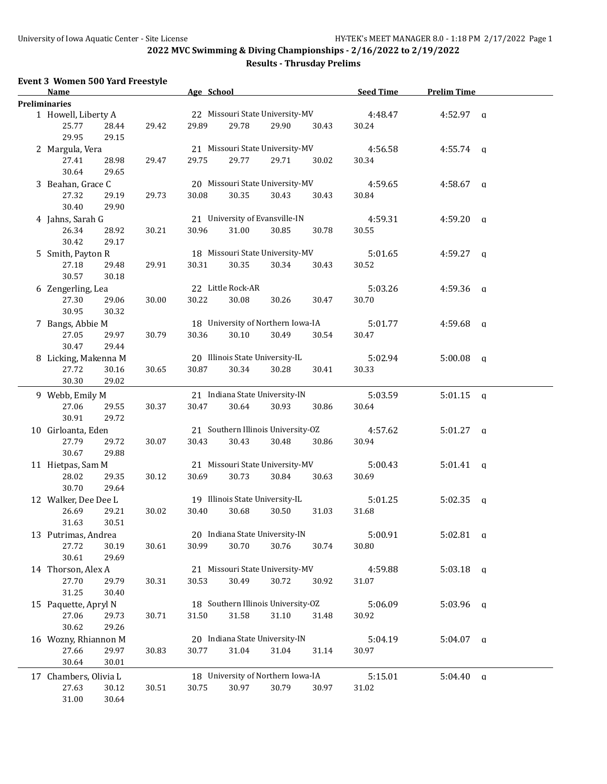### **Results - Thrusday Prelims**

| <b>Event 3 Women 500 Yard Freestyle</b><br>Name          |       | Age School |                   |                                             |       | <b>Seed Time</b> | <b>Prelim Time</b> |          |
|----------------------------------------------------------|-------|------------|-------------------|---------------------------------------------|-------|------------------|--------------------|----------|
| <b>Preliminaries</b>                                     |       |            |                   |                                             |       |                  |                    |          |
| 1 Howell, Liberty A<br>25.77<br>28.44<br>29.95<br>29.15  | 29.42 | 29.89      | 29.78             | 22 Missouri State University-MV<br>29.90    | 30.43 | 4:48.47<br>30.24 | $4:52.97$ a        |          |
| 2 Margula, Vera                                          |       |            |                   | 21 Missouri State University-MV             |       | 4:56.58          | $4:55.74$ q        |          |
| 27.41<br>28.98<br>30.64<br>29.65                         | 29.47 | 29.75      | 29.77             | 29.71                                       | 30.02 | 30.34            |                    |          |
| 3 Beahan, Grace C                                        |       |            |                   | 20 Missouri State University-MV<br>30.43    | 30.43 | 4:59.65          | $4:58.67$ q        |          |
| 27.32<br>29.19<br>30.40<br>29.90                         | 29.73 | 30.08      | 30.35             |                                             |       | 30.84            |                    |          |
| 4 Jahns, Sarah G<br>26.34<br>28.92<br>30.42<br>29.17     | 30.21 | 30.96      | 31.00             | 21 University of Evansville-IN<br>30.85     | 30.78 | 4:59.31<br>30.55 | $4:59.20$ q        |          |
| 5 Smith, Payton R<br>27.18<br>29.48<br>30.57<br>30.18    | 29.91 | 30.31      | 30.35             | 18 Missouri State University-MV<br>30.34    | 30.43 | 5:01.65<br>30.52 | $4:59.27$ q        |          |
| 6 Zengerling, Lea                                        |       |            | 22 Little Rock-AR |                                             |       | 5:03.26          | $4:59.36$ q        |          |
| 27.30<br>29.06<br>30.95<br>30.32                         | 30.00 | 30.22      | 30.08             | 30.26                                       | 30.47 | 30.70            |                    |          |
| 7 Bangs, Abbie M<br>27.05<br>29.97<br>30.47<br>29.44     | 30.79 | 30.36      | 30.10             | 18 University of Northern Iowa-IA<br>30.49  | 30.54 | 5:01.77<br>30.47 | $4:59.68$ a        |          |
| 8 Licking, Makenna M<br>27.72<br>30.16<br>30.30<br>29.02 | 30.65 | 30.87      | 30.34             | 20 Illinois State University-IL<br>30.28    | 30.41 | 5:02.94<br>30.33 | $5:00.08$ a        |          |
| 9 Webb, Emily M                                          |       |            |                   | 21 Indiana State University-IN              |       | 5:03.59          | $5:01.15$ a        |          |
| 27.06<br>29.55<br>30.91<br>29.72                         | 30.37 | 30.47      | 30.64             | 30.93                                       | 30.86 | 30.64            |                    |          |
| 10 Girloanta, Eden<br>27.79<br>29.72<br>30.67<br>29.88   | 30.07 | 30.43      | 30.43             | 21 Southern Illinois University-OZ<br>30.48 | 30.86 | 4:57.62<br>30.94 | $5:01.27$ q        |          |
| 11 Hietpas, Sam M<br>28.02<br>29.35<br>30.70<br>29.64    | 30.12 | 30.69      | 30.73             | 21 Missouri State University-MV<br>30.84    | 30.63 | 5:00.43<br>30.69 | $5:01.41$ q        |          |
| 12 Walker, Dee Dee L                                     |       |            |                   | 19 Illinois State University-IL             |       | 5:01.25          | 5:02.35            | q        |
| 26.69<br>29.21<br>31.63<br>30.51                         | 30.02 | 30.40      | 30.68             | 30.50                                       | 31.03 | 31.68            |                    |          |
| 13 Putrimas, Andrea<br>27.72<br>30.19<br>30.61<br>29.69  | 30.61 | 30.99      | 30.70             | 20 Indiana State University-IN<br>30.76     | 30.74 | 5:00.91<br>30.80 | $5:02.81$ q        |          |
| 14 Thorson, Alex A<br>27.70<br>29.79                     | 30.31 | 30.53      | 30.49             | 21 Missouri State University-MV<br>30.72    | 30.92 | 4:59.88<br>31.07 | $5:03.18$ a        |          |
| 31.25<br>30.40<br>15 Paquette, Apryl N                   |       |            |                   | 18 Southern Illinois University-OZ          |       | 5:06.09          | $5:03.96$ a        |          |
| 27.06<br>29.73<br>30.62<br>29.26                         | 30.71 | 31.50      | 31.58             | 31.10                                       | 31.48 | 30.92            |                    |          |
| 16 Wozny, Rhiannon M<br>27.66<br>29.97<br>30.64<br>30.01 | 30.83 | 30.77      | 31.04             | 20 Indiana State University-IN<br>31.04     | 31.14 | 5:04.19<br>30.97 | $5:04.07$ a        |          |
| 17 Chambers, Olivia L                                    |       |            |                   | 18 University of Northern Iowa-IA           |       | 5:15.01          | 5:04.40            | $\alpha$ |
| 27.63<br>30.12<br>31.00<br>30.64                         | 30.51 | 30.75      | 30.97             | 30.79                                       | 30.97 | 31.02            |                    |          |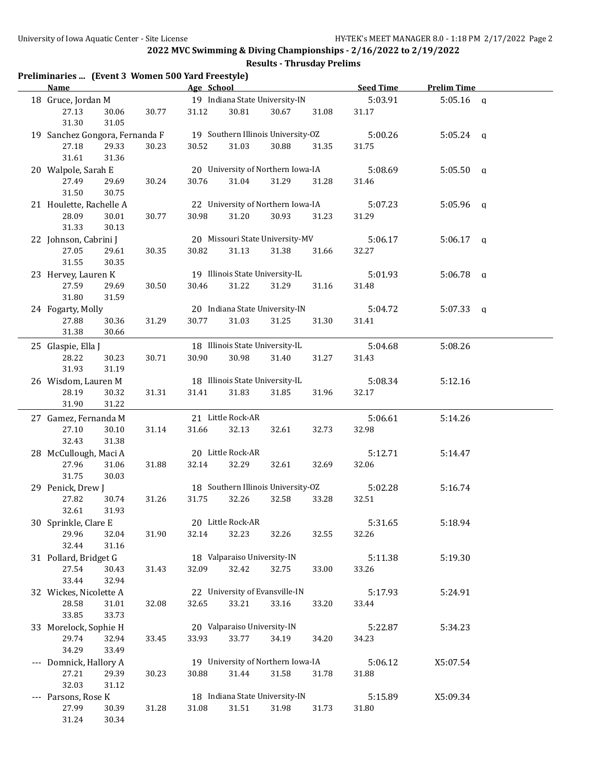### **Results - Thrusday Prelims**

| Preliminaries  (Event 3 Women 500 Yard Freestyle)<br><b>Name</b> |       | Age School |                             |                                    |       | Seed Time | <b>Prelim Time</b> |  |
|------------------------------------------------------------------|-------|------------|-----------------------------|------------------------------------|-------|-----------|--------------------|--|
| 18 Gruce, Jordan M                                               |       |            |                             | 19 Indiana State University-IN     |       | 5:03.91   | $5:05.16$ a        |  |
| 27.13<br>30.06                                                   | 30.77 | 31.12      | 30.81                       | 30.67                              | 31.08 | 31.17     |                    |  |
| 31.30<br>31.05                                                   |       |            |                             |                                    |       |           |                    |  |
| 19 Sanchez Gongora, Fernanda F                                   |       |            |                             | 19 Southern Illinois University-OZ |       | 5:00.26   | $5:05.24$ q        |  |
| 27.18<br>29.33                                                   | 30.23 | 30.52      | 31.03                       | 30.88                              | 31.35 | 31.75     |                    |  |
| 31.61<br>31.36                                                   |       |            |                             |                                    |       |           |                    |  |
| 20 Walpole, Sarah E                                              |       |            |                             | 20 University of Northern Iowa-IA  |       | 5:08.69   | $5:05.50$ q        |  |
| 27.49<br>29.69                                                   | 30.24 | 30.76      | 31.04                       | 31.29                              | 31.28 | 31.46     |                    |  |
| 31.50<br>30.75                                                   |       |            |                             |                                    |       |           |                    |  |
| 21 Houlette, Rachelle A                                          |       |            |                             | 22 University of Northern Iowa-IA  |       | 5:07.23   | $5:05.96$ q        |  |
| 28.09<br>30.01                                                   | 30.77 | 30.98      | 31.20                       | 30.93                              | 31.23 | 31.29     |                    |  |
| 31.33<br>30.13                                                   |       |            |                             |                                    |       |           |                    |  |
| 22 Johnson, Cabrini J                                            |       |            |                             | 20 Missouri State University-MV    |       | 5:06.17   | $5:06.17$ q        |  |
| 27.05<br>29.61                                                   | 30.35 | 30.82      | 31.13                       | 31.38                              | 31.66 | 32.27     |                    |  |
| 31.55<br>30.35                                                   |       |            |                             |                                    |       |           |                    |  |
| 23 Hervey, Lauren K                                              |       |            |                             | 19 Illinois State University-IL    |       | 5:01.93   | $5:06.78$ a        |  |
| 27.59<br>29.69                                                   | 30.50 | 30.46      | 31.22                       | 31.29                              | 31.16 | 31.48     |                    |  |
| 31.80<br>31.59                                                   |       |            |                             |                                    |       |           |                    |  |
| 24 Fogarty, Molly                                                |       |            |                             | 20 Indiana State University-IN     |       | 5:04.72   | $5:07.33$ a        |  |
| 27.88<br>30.36                                                   | 31.29 | 30.77      | 31.03                       | 31.25                              | 31.30 | 31.41     |                    |  |
| 31.38<br>30.66                                                   |       |            |                             |                                    |       |           |                    |  |
| 25 Glaspie, Ella J                                               |       |            |                             | 18 Illinois State University-IL    |       | 5:04.68   | 5:08.26            |  |
| 28.22<br>30.23                                                   | 30.71 | 30.90      | 30.98                       | 31.40                              | 31.27 | 31.43     |                    |  |
| 31.93<br>31.19                                                   |       |            |                             |                                    |       |           |                    |  |
| 26 Wisdom, Lauren M                                              |       |            |                             | 18 Illinois State University-IL    |       | 5:08.34   | 5:12.16            |  |
| 28.19<br>30.32                                                   | 31.31 | 31.41      | 31.83                       | 31.85                              | 31.96 | 32.17     |                    |  |
| 31.90<br>31.22                                                   |       |            |                             |                                    |       |           |                    |  |
|                                                                  |       |            |                             |                                    |       |           |                    |  |
| 27 Gamez, Fernanda M                                             |       |            | 21 Little Rock-AR           |                                    |       | 5:06.61   | 5:14.26            |  |
| 27.10<br>30.10                                                   | 31.14 | 31.66      | 32.13                       | 32.61                              | 32.73 | 32.98     |                    |  |
| 32.43<br>31.38                                                   |       |            |                             |                                    |       |           |                    |  |
| 28 McCullough, Maci A                                            |       |            | 20 Little Rock-AR           |                                    |       | 5:12.71   | 5:14.47            |  |
| 27.96<br>31.06                                                   | 31.88 | 32.14      | 32.29                       | 32.61                              | 32.69 | 32.06     |                    |  |
| 31.75<br>30.03                                                   |       |            |                             |                                    |       |           |                    |  |
| 29 Penick, Drew J                                                |       |            |                             | 18 Southern Illinois University-OZ |       | 5:02.28   | 5:16.74            |  |
| 30.74<br>27.82                                                   | 31.26 | 31.75      | 32.26                       | 32.58                              | 33.28 | 32.51     |                    |  |
| 32.61<br>31.93                                                   |       |            | 20 Little Rock-AR           |                                    |       |           |                    |  |
| 30 Sprinkle, Clare E                                             |       |            |                             |                                    |       | 5:31.65   | 5:18.94            |  |
| 29.96<br>32.04                                                   | 31.90 | 32.14      | 32.23                       | 32.26                              | 32.55 | 32.26     |                    |  |
| 32.44<br>31.16                                                   |       |            |                             |                                    |       |           |                    |  |
| 31 Pollard, Bridget G                                            |       |            | 18 Valparaiso University-IN |                                    |       | 5:11.38   | 5:19.30            |  |
| 27.54<br>30.43                                                   | 31.43 | 32.09      | 32.42                       | 32.75                              | 33.00 | 33.26     |                    |  |
| 33.44<br>32.94                                                   |       |            |                             |                                    |       |           |                    |  |
| 32 Wickes, Nicolette A                                           |       |            |                             | 22 University of Evansville-IN     |       | 5:17.93   | 5:24.91            |  |
| 28.58<br>31.01                                                   | 32.08 | 32.65      | 33.21                       | 33.16                              | 33.20 | 33.44     |                    |  |
| 33.85<br>33.73                                                   |       |            |                             |                                    |       |           |                    |  |
| 33 Morelock, Sophie H                                            |       |            | 20 Valparaiso University-IN |                                    |       | 5:22.87   | 5:34.23            |  |
| 29.74<br>32.94                                                   | 33.45 | 33.93      | 33.77                       | 34.19                              | 34.20 | 34.23     |                    |  |
| 34.29<br>33.49                                                   |       |            |                             |                                    |       |           |                    |  |
| --- Domnick, Hallory A                                           |       |            |                             | 19 University of Northern Iowa-IA  |       | 5:06.12   | X5:07.54           |  |
| 27.21<br>29.39                                                   | 30.23 | 30.88      | 31.44                       | 31.58                              | 31.78 | 31.88     |                    |  |
| 32.03<br>31.12                                                   |       |            |                             |                                    |       |           |                    |  |
| --- Parsons, Rose K                                              |       |            |                             | 18 Indiana State University-IN     |       | 5:15.89   | X5:09.34           |  |
| 27.99<br>30.39                                                   | 31.28 | 31.08      | 31.51                       | 31.98                              | 31.73 | 31.80     |                    |  |
| 30.34<br>31.24                                                   |       |            |                             |                                    |       |           |                    |  |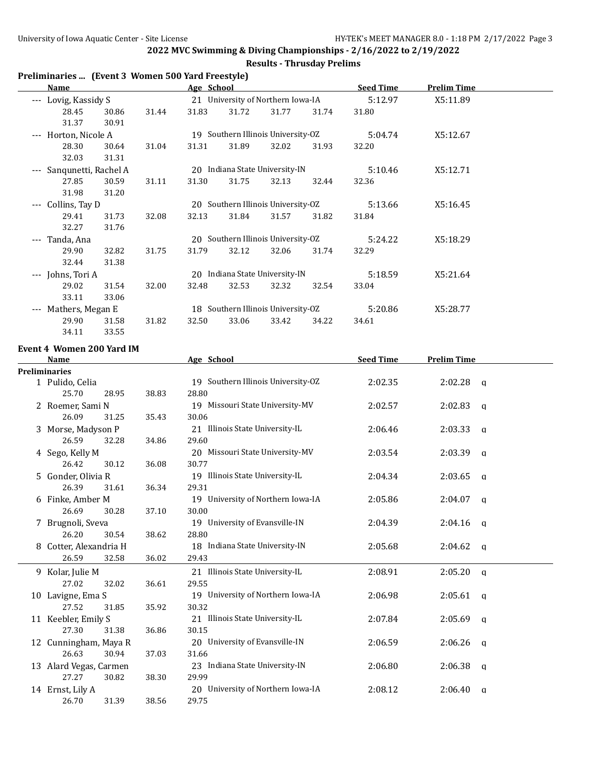### **Results - Thrusday Prelims**

| Preliminaries  (Event 3 Women 500 Yard Freestyle) |  |  |  |
|---------------------------------------------------|--|--|--|
|---------------------------------------------------|--|--|--|

| Name                                    |       |       | Age School                         |       |                                    |       | <b>Seed Time</b> | <b>Prelim Time</b> |  |
|-----------------------------------------|-------|-------|------------------------------------|-------|------------------------------------|-------|------------------|--------------------|--|
| Lovig, Kassidy S<br>$\qquad \qquad - -$ |       |       |                                    |       | 21 University of Northern Iowa-IA  |       | 5:12.97          | X5:11.89           |  |
| 28.45                                   | 30.86 | 31.44 | 31.83                              | 31.72 | 31.77                              | 31.74 | 31.80            |                    |  |
| 31.37                                   | 30.91 |       |                                    |       |                                    |       |                  |                    |  |
| Horton, Nicole A<br>$---$               |       |       |                                    |       | 19 Southern Illinois University-OZ |       | 5:04.74          | X5:12.67           |  |
| 28.30                                   | 30.64 | 31.04 | 31.31                              | 31.89 | 32.02                              | 31.93 | 32.20            |                    |  |
| 32.03                                   | 31.31 |       |                                    |       |                                    |       |                  |                    |  |
| Sangunetti, Rachel A<br>$---$           |       |       |                                    |       | 20 Indiana State University-IN     |       | 5:10.46          | X5:12.71           |  |
| 27.85                                   | 30.59 | 31.11 | 31.30                              | 31.75 | 32.13                              | 32.44 | 32.36            |                    |  |
| 31.98                                   | 31.20 |       |                                    |       |                                    |       |                  |                    |  |
| Collins, Tay D<br>$\qquad \qquad - -$   |       |       | 20 Southern Illinois University-OZ |       |                                    |       | 5:13.66          | X5:16.45           |  |
| 29.41                                   | 31.73 | 32.08 | 32.13                              | 31.84 | 31.57                              | 31.82 | 31.84            |                    |  |
| 32.27                                   | 31.76 |       |                                    |       |                                    |       |                  |                    |  |
| Tanda, Ana<br>---                       |       |       |                                    |       | 20 Southern Illinois University-OZ |       | 5:24.22          | X5:18.29           |  |
| 29.90                                   | 32.82 | 31.75 | 31.79                              | 32.12 | 32.06                              | 31.74 | 32.29            |                    |  |
| 32.44                                   | 31.38 |       |                                    |       |                                    |       |                  |                    |  |
| Johns, Tori A<br>$---$                  |       |       | 20                                 |       | Indiana State University-IN        |       | 5:18.59          | X5:21.64           |  |
| 29.02                                   | 31.54 | 32.00 | 32.48                              | 32.53 | 32.32                              | 32.54 | 33.04            |                    |  |
| 33.11                                   | 33.06 |       |                                    |       |                                    |       |                  |                    |  |
| Mathers, Megan E<br>$\qquad \qquad - -$ |       |       |                                    |       | 18 Southern Illinois University-OZ |       | 5:20.86          | X5:28.77           |  |
| 29.90                                   | 31.58 | 31.82 | 32.50                              | 33.06 | 33.42                              | 34.22 | 34.61            |                    |  |
| 34.11                                   | 33.55 |       |                                    |       |                                    |       |                  |                    |  |

#### **Event 4 Women 200 Yard IM**

| <b>Name</b>            |       |       | Age School                         | <b>Seed Time</b> | <b>Prelim Time</b> |              |  |  |
|------------------------|-------|-------|------------------------------------|------------------|--------------------|--------------|--|--|
| <b>Preliminaries</b>   |       |       |                                    |                  |                    |              |  |  |
| 1 Pulido, Celia        |       |       | 19 Southern Illinois University-OZ | 2:02.35          | $2:02.28$ q        |              |  |  |
| 25.70                  | 28.95 | 38.83 | 28.80                              |                  |                    |              |  |  |
| 2 Roemer, Sami N       |       |       | 19 Missouri State University-MV    | 2:02.57          | 2:02.83            | $\alpha$     |  |  |
| 26.09                  | 31.25 | 35.43 | 30.06                              |                  |                    |              |  |  |
| 3 Morse, Madyson P     |       |       | 21 Illinois State University-IL    | 2:06.46          | $2:03.33$ q        |              |  |  |
| 26.59                  | 32.28 | 34.86 | 29.60                              |                  |                    |              |  |  |
| 4 Sego, Kelly M        |       |       | 20 Missouri State University-MV    | 2:03.54          | $2:03.39$ q        |              |  |  |
| 26.42                  | 30.12 | 36.08 | 30.77                              |                  |                    |              |  |  |
| 5 Gonder, Olivia R     |       |       | 19 Illinois State University-IL    | 2:04.34          | 2:03.65            | $\mathbf{q}$ |  |  |
| 26.39                  | 31.61 | 36.34 | 29.31                              |                  |                    |              |  |  |
| 6 Finke, Amber M       |       |       | 19 University of Northern Iowa-IA  | 2:05.86          | $2:04.07$ q        |              |  |  |
| 26.69                  | 30.28 | 37.10 | 30.00                              |                  |                    |              |  |  |
| 7 Brugnoli, Sveva      |       |       | 19 University of Evansville-IN     | 2:04.39          | $2:04.16$ a        |              |  |  |
| 26.20                  | 30.54 | 38.62 | 28.80                              |                  |                    |              |  |  |
| 8 Cotter, Alexandria H |       |       | 18 Indiana State University-IN     | 2:05.68          | $2:04.62$ q        |              |  |  |
| 26.59                  | 32.58 | 36.02 | 29.43                              |                  |                    |              |  |  |
| 9 Kolar, Julie M       |       |       | 21 Illinois State University-IL    | 2:08.91          | $2:05.20$ q        |              |  |  |
| 27.02                  | 32.02 | 36.61 | 29.55                              |                  |                    |              |  |  |
| 10 Lavigne, Ema S      |       |       | 19 University of Northern Iowa-IA  | 2:06.98          | $2:05.61$ q        |              |  |  |
| 27.52                  | 31.85 | 35.92 | 30.32                              |                  |                    |              |  |  |
| 11 Keebler, Emily S    |       |       | 21 Illinois State University-IL    | 2:07.84          | $2:05.69$ q        |              |  |  |
| 27.30                  | 31.38 | 36.86 | 30.15                              |                  |                    |              |  |  |
| 12 Cunningham, Maya R  |       |       | 20 University of Evansville-IN     | 2:06.59          | $2:06.26$ q        |              |  |  |
| 26.63                  | 30.94 | 37.03 | 31.66                              |                  |                    |              |  |  |
| 13 Alard Vegas, Carmen |       |       | 23 Indiana State University-IN     | 2:06.80          | 2:06.38            | $\mathbf{q}$ |  |  |
| 27.27                  | 30.82 | 38.30 | 29.99                              |                  |                    |              |  |  |
| 14 Ernst, Lily A       |       |       | 20 University of Northern Iowa-IA  | 2:08.12          | 2:06.40            | q            |  |  |
| 26.70                  | 31.39 | 38.56 | 29.75                              |                  |                    |              |  |  |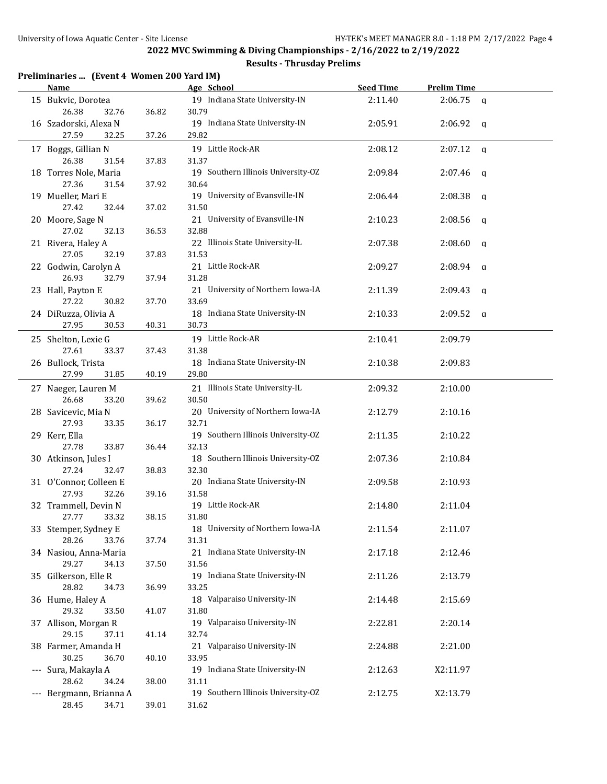### **Results - Thrusday Prelims**

|  | Preliminaries  (Event 4 Women 200 Yard IM) |  |
|--|--------------------------------------------|--|
|  |                                            |  |

| <b>Name</b>                               |       | Age School                                  | <b>Seed Time</b> | <b>Prelim Time</b>      |  |
|-------------------------------------------|-------|---------------------------------------------|------------------|-------------------------|--|
| 15 Bukvic, Dorotea<br>26.38<br>32.76      | 36.82 | 19 Indiana State University-IN<br>30.79     | 2:11.40          | 2:06.75<br>$\mathbf{q}$ |  |
| 16 Szadorski, Alexa N<br>27.59<br>32.25   | 37.26 | 19 Indiana State University-IN<br>29.82     | 2:05.91          | $2:06.92$ q             |  |
| 17 Boggs, Gillian N<br>26.38<br>31.54     | 37.83 | 19 Little Rock-AR<br>31.37                  | 2:08.12          | 2:07.12<br>$\mathbf{q}$ |  |
| 18 Torres Nole, Maria<br>27.36<br>31.54   | 37.92 | 19 Southern Illinois University-OZ<br>30.64 | 2:09.84          | $2:07.46$ q             |  |
| 19 Mueller, Mari E<br>27.42<br>32.44      | 37.02 | 19 University of Evansville-IN<br>31.50     | 2:06.44          | $2:08.38$ q             |  |
| 20 Moore, Sage N<br>27.02<br>32.13        | 36.53 | 21 University of Evansville-IN<br>32.88     | 2:10.23          | $2:08.56$ q             |  |
| 21 Rivera, Haley A<br>27.05<br>32.19      | 37.83 | 22 Illinois State University-IL<br>31.53    | 2:07.38          | 2:08.60<br>- a          |  |
| 22 Godwin, Carolyn A<br>26.93<br>32.79    | 37.94 | 21 Little Rock-AR<br>31.28                  | 2:09.27          | 2:08.94<br>q            |  |
| 23 Hall, Payton E<br>27.22<br>30.82       | 37.70 | 21 University of Northern Iowa-IA<br>33.69  | 2:11.39          | 2:09.43<br>q            |  |
| 24 DiRuzza, Olivia A<br>27.95<br>30.53    | 40.31 | 18 Indiana State University-IN<br>30.73     | 2:10.33          | 2:09.52<br>q            |  |
| 25 Shelton, Lexie G<br>27.61<br>33.37     | 37.43 | 19 Little Rock-AR<br>31.38                  | 2:10.41          | 2:09.79                 |  |
| 26 Bullock, Trista<br>27.99<br>31.85      | 40.19 | 18 Indiana State University-IN<br>29.80     | 2:10.38          | 2:09.83                 |  |
| 27 Naeger, Lauren M<br>26.68<br>33.20     | 39.62 | 21 Illinois State University-IL<br>30.50    | 2:09.32          | 2:10.00                 |  |
| 28 Savicevic, Mia N<br>27.93<br>33.35     | 36.17 | 20 University of Northern Iowa-IA<br>32.71  | 2:12.79          | 2:10.16                 |  |
| 29 Kerr, Ella<br>27.78<br>33.87           | 36.44 | 19 Southern Illinois University-OZ<br>32.13 | 2:11.35          | 2:10.22                 |  |
| 30 Atkinson, Jules I<br>27.24<br>32.47    | 38.83 | 18 Southern Illinois University-OZ<br>32.30 | 2:07.36          | 2:10.84                 |  |
| 31 O'Connor, Colleen E<br>27.93<br>32.26  | 39.16 | 20 Indiana State University-IN<br>31.58     | 2:09.58          | 2:10.93                 |  |
| 32 Trammell, Devin N<br>27.77<br>33.32    | 38.15 | 19 Little Rock-AR<br>31.80                  | 2:14.80          | 2:11.04                 |  |
| 33 Stemper, Sydney E<br>28.26<br>33.76    | 37.74 | 18 University of Northern Iowa-IA<br>31.31  | 2:11.54          | 2:11.07                 |  |
| 34 Nasiou, Anna-Maria<br>29.27<br>34.13   | 37.50 | 21 Indiana State University-IN<br>31.56     | 2:17.18          | 2:12.46                 |  |
| 35 Gilkerson, Elle R<br>28.82<br>34.73    | 36.99 | 19 Indiana State University-IN<br>33.25     | 2:11.26          | 2:13.79                 |  |
| 36 Hume, Haley A<br>29.32<br>33.50        | 41.07 | 18 Valparaiso University-IN<br>31.80        | 2:14.48          | 2:15.69                 |  |
| 37 Allison, Morgan R<br>29.15<br>37.11    | 41.14 | 19 Valparaiso University-IN<br>32.74        | 2:22.81          | 2:20.14                 |  |
| 38 Farmer, Amanda H<br>30.25<br>36.70     | 40.10 | 21 Valparaiso University-IN<br>33.95        | 2:24.88          | 2:21.00                 |  |
| --- Sura, Makayla A<br>28.62<br>34.24     | 38.00 | 19 Indiana State University-IN<br>31.11     | 2:12.63          | X2:11.97                |  |
| --- Bergmann, Brianna A<br>28.45<br>34.71 | 39.01 | 19 Southern Illinois University-OZ<br>31.62 | 2:12.75          | X2:13.79                |  |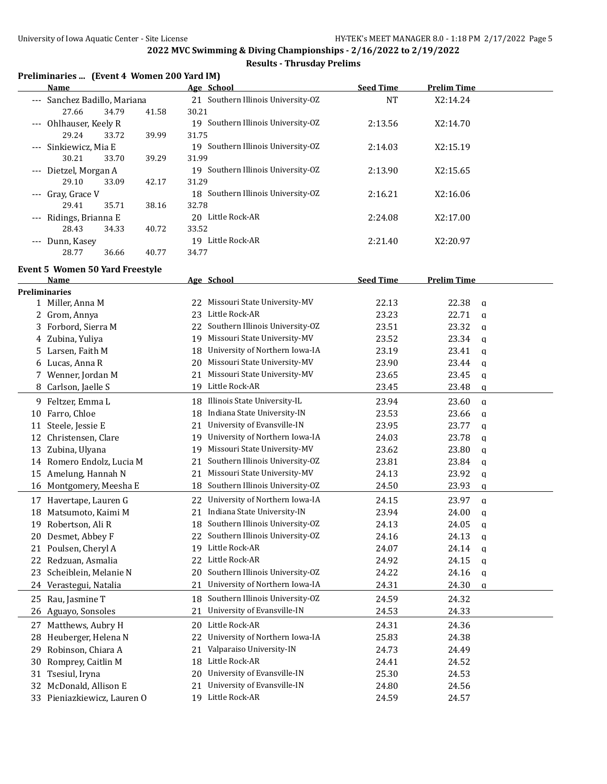### **Results - Thrusday Prelims**

|  |  | Preliminaries  (Event 4 Women 200 Yard IM) |  |
|--|--|--------------------------------------------|--|
|--|--|--------------------------------------------|--|

| <b>Name</b>                  |       |       | Age School                            | <b>Seed Time</b> | <b>Prelim Time</b> |  |
|------------------------------|-------|-------|---------------------------------------|------------------|--------------------|--|
| --- Sanchez Badillo, Mariana |       |       | Southern Illinois University-OZ<br>21 | <b>NT</b>        | X2:14.24           |  |
| 27.66                        | 34.79 | 41.58 | 30.21                                 |                  |                    |  |
| --- Ohlhauser, Keely R       |       |       | Southern Illinois University-OZ<br>19 | 2:13.56          | X2:14.70           |  |
| 29.24                        | 33.72 | 39.99 | 31.75                                 |                  |                    |  |
| --- Sinkiewicz, Mia E        |       |       | 19 Southern Illinois University-OZ    | 2:14.03          | X2:15.19           |  |
| 30.21                        | 33.70 | 39.29 | 31.99                                 |                  |                    |  |
| --- Dietzel, Morgan A        |       |       | 19 Southern Illinois University-OZ    | 2:13.90          | X2:15.65           |  |
| 29.10                        | 33.09 | 42.17 | 31.29                                 |                  |                    |  |
| --- Gray, Grace V            |       |       | 18 Southern Illinois University-OZ    | 2:16.21          | X2:16.06           |  |
| 29.41                        | 35.71 | 38.16 | 32.78                                 |                  |                    |  |
| --- Ridings, Brianna E       |       |       | Little Rock-AR<br>20                  | 2:24.08          | X2:17.00           |  |
| 28.43                        | 34.33 | 40.72 | 33.52                                 |                  |                    |  |
| Dunn, Kasey<br>$- - -$       |       |       | Little Rock-AR<br>19                  | 2:21.40          | X2:20.97           |  |
| 28.77                        | 36.66 | 40.77 | 34.77                                 |                  |                    |  |

# **Event 5 Women 50 Yard Freestyle**

|                      | Name                        |    | Age School                      | <b>Seed Time</b> | <b>Prelim Time</b>    |  |
|----------------------|-----------------------------|----|---------------------------------|------------------|-----------------------|--|
| <b>Preliminaries</b> |                             |    |                                 |                  |                       |  |
|                      | 1 Miller, Anna M            | 22 | Missouri State University-MV    | 22.13            | 22.38<br>$\mathbf q$  |  |
| 2                    | Grom, Annya                 | 23 | Little Rock-AR                  | 23.23            | 22.71<br>$\mathbf q$  |  |
| 3                    | Forbord, Sierra M           | 22 | Southern Illinois University-OZ | 23.51            | 23.32<br>$\mathbf q$  |  |
|                      | 4 Zubina, Yuliya            | 19 | Missouri State University-MV    | 23.52            | 23.34<br>$\mathbf q$  |  |
|                      | 5 Larsen, Faith M           | 18 | University of Northern Iowa-IA  | 23.19            | 23.41<br>$\mathbf{q}$ |  |
| 6                    | Lucas, Anna R               | 20 | Missouri State University-MV    | 23.90            | 23.44<br>q            |  |
|                      | Wenner, Jordan M            | 21 | Missouri State University-MV    | 23.65            | 23.45<br>$\mathbf{q}$ |  |
| 8                    | Carlson, Jaelle S           | 19 | Little Rock-AR                  | 23.45            | 23.48<br>q            |  |
|                      | 9 Feltzer, Emma L           | 18 | Illinois State University-IL    | 23.94            | 23.60<br>$\mathbf{q}$ |  |
| 10                   | Farro, Chloe                | 18 | Indiana State University-IN     | 23.53            | 23.66<br>$\mathbf q$  |  |
| 11                   | Steele, Jessie E            | 21 | University of Evansville-IN     | 23.95            | 23.77<br>$\mathbf q$  |  |
| 12                   | Christensen, Clare          | 19 | University of Northern Iowa-IA  | 24.03            | 23.78<br>$\mathbf{q}$ |  |
| 13                   | Zubina, Ulyana              | 19 | Missouri State University-MV    | 23.62            | 23.80<br>$\mathbf q$  |  |
| 14                   | Romero Endolz, Lucia M      | 21 | Southern Illinois University-OZ | 23.81            | 23.84<br>$\mathbf{q}$ |  |
| 15                   | Amelung, Hannah N           | 21 | Missouri State University-MV    | 24.13            | 23.92<br>$\mathbf q$  |  |
| 16                   | Montgomery, Meesha E        | 18 | Southern Illinois University-OZ | 24.50            | 23.93<br>$\mathbf{q}$ |  |
|                      | 17 Havertape, Lauren G      | 22 | University of Northern Iowa-IA  | 24.15            | 23.97<br>$\mathbf q$  |  |
| 18                   | Matsumoto, Kaimi M          | 21 | Indiana State University-IN     | 23.94            | 24.00<br>$\mathbf{q}$ |  |
| 19                   | Robertson, Ali R            | 18 | Southern Illinois University-OZ | 24.13            | 24.05<br>$\mathbf q$  |  |
| 20                   | Desmet, Abbey F             | 22 | Southern Illinois University-OZ | 24.16            | 24.13<br>$\mathbf{q}$ |  |
| 21                   | Poulsen, Cheryl A           |    | 19 Little Rock-AR               | 24.07            | 24.14<br>$\mathbf q$  |  |
| 22                   | Redzuan, Asmalia            | 22 | Little Rock-AR                  | 24.92            | 24.15<br>$\mathbf{q}$ |  |
| 23                   | Scheiblein, Melanie N       | 20 | Southern Illinois University-OZ | 24.22            | 24.16<br>$\mathbf q$  |  |
| 24                   | Verastegui, Natalia         | 21 | University of Northern Iowa-IA  | 24.31            | 24.30<br>a            |  |
| 25                   | Rau, Jasmine T              | 18 | Southern Illinois University-OZ | 24.59            | 24.32                 |  |
|                      | 26 Aguayo, Sonsoles         | 21 | University of Evansville-IN     | 24.53            | 24.33                 |  |
|                      | 27 Matthews, Aubry H        | 20 | Little Rock-AR                  | 24.31            | 24.36                 |  |
| 28                   | Heuberger, Helena N         | 22 | University of Northern Iowa-IA  | 25.83            | 24.38                 |  |
| 29                   | Robinson, Chiara A          | 21 | Valparaiso University-IN        | 24.73            | 24.49                 |  |
| 30                   | Romprey, Caitlin M          | 18 | Little Rock-AR                  | 24.41            | 24.52                 |  |
|                      | 31 Tsesiul, Iryna           | 20 | University of Evansville-IN     | 25.30            | 24.53                 |  |
| 32                   | McDonald, Allison E         | 21 | University of Evansville-IN     | 24.80            | 24.56                 |  |
|                      | 33 Pieniazkiewicz, Lauren O |    | 19 Little Rock-AR               | 24.59            | 24.57                 |  |